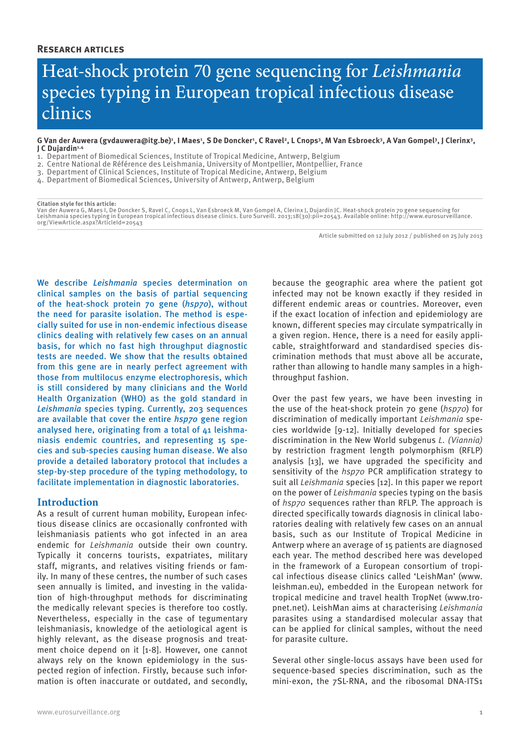# Heat-shock protein 70 gene sequencing for *Leishmania* species typing in European tropical infectious disease clinics

G Van der Auwera (gvdauwera@itg.be)<sup>ı</sup>, I Maes<sup>1</sup>, S De Doncker<sup>1</sup>, C Ravel<sup>2</sup>, L Cnops<sup>3</sup>, M Van Esbroeck<sup>3</sup>, A Van Gompel<sup>3</sup>, J Clerinx<sup>3</sup>, **J C Dujardin1,4**

- 1. Department of Biomedical Sciences, Institute of Tropical Medicine, Antwerp, Belgium
- 2. Centre National de Référence des Leishmania, University of Montpellier, Montpellier, France
- 3. Department of Clinical Sciences, Institute of Tropical Medicine, Antwerp, Belgium
- 4. Department of Biomedical Sciences, University of Antwerp, Antwerp, Belgium

#### **Citation style for this article:**

Van der Auwera G, Maes I, De Doncker S, Ravel C, Cnops L, Van Esbroeck M, Van Gompel A, Clerinx J, Dujardin JC. Heat-shock protein 70 gene sequencing for Leishmania species typing in European tropical infectious disease clinics. Euro Surveill. 2013;18(30):pii=20543. Available online: http://www.eurosurveillance.<br>org/ViewArticle.aspx?ArticleId=20543

Article submitted on 12 July 2012 / published on 25 July 2013

We describe *Leishmania* species determination on clinical samples on the basis of partial sequencing of the heat-shock protein 70 gene (*hsp70*), without the need for parasite isolation. The method is especially suited for use in non-endemic infectious disease clinics dealing with relatively few cases on an annual basis, for which no fast high throughput diagnostic tests are needed. We show that the results obtained from this gene are in nearly perfect agreement with those from multilocus enzyme electrophoresis, which is still considered by many clinicians and the World Health Organization (WHO) as the gold standard in *Leishmania* species typing. Currently, 203 sequences are available that cover the entire *hsp70* gene region analysed here, originating from a total of 41 leishmaniasis endemic countries, and representing 15 species and sub-species causing human disease. We also provide a detailed laboratory protocol that includes a step-by-step procedure of the typing methodology, to facilitate implementation in diagnostic laboratories.

#### **Introduction**

As a result of current human mobility, European infectious disease clinics are occasionally confronted with leishmaniasis patients who got infected in an area endemic for *Leishmania* outside their own country. Typically it concerns tourists, expatriates, military staff, migrants, and relatives visiting friends or family. In many of these centres, the number of such cases seen annually is limited, and investing in the validation of high-throughput methods for discriminating the medically relevant species is therefore too costly. Nevertheless, especially in the case of tegumentary leishmaniasis, knowledge of the aetiological agent is highly relevant, as the disease prognosis and treatment choice depend on it [1-8]. However, one cannot always rely on the known epidemiology in the suspected region of infection. Firstly, because such information is often inaccurate or outdated, and secondly,

because the geographic area where the patient got infected may not be known exactly if they resided in different endemic areas or countries. Moreover, even if the exact location of infection and epidemiology are known, different species may circulate sympatrically in a given region. Hence, there is a need for easily applicable, straightforward and standardised species discrimination methods that must above all be accurate, rather than allowing to handle many samples in a highthroughput fashion.

Over the past few years, we have been investing in the use of the heat-shock protein 70 gene (*hsp70*) for discrimination of medically important *Leishmania* species worldwide [9-12]. Initially developed for species discrimination in the New World subgenus *L. (Viannia)* by restriction fragment length polymorphism (RFLP) analysis [13], we have upgraded the specificity and sensitivity of the *hsp70* PCR amplification strategy to suit all *Leishmania* species [12]. In this paper we report on the power of *Leishmania* species typing on the basis of *hsp70* sequences rather than RFLP. The approach is directed specifically towards diagnosis in clinical laboratories dealing with relatively few cases on an annual basis, such as our Institute of Tropical Medicine in Antwerp where an average of 15 patients are diagnosed each year. The method described here was developed in the framework of a European consortium of tropical infectious disease clinics called 'LeishMan' (www. leishman.eu), embedded in the European network for tropical medicine and travel health TropNet (www.tropnet.net). LeishMan aims at characterising *Leishmania*  parasites using a standardised molecular assay that can be applied for clinical samples, without the need for parasite culture.

Several other single-locus assays have been used for sequence-based species discrimination, such as the mini-exon, the 7SL-RNA, and the ribosomal DNA-ITS1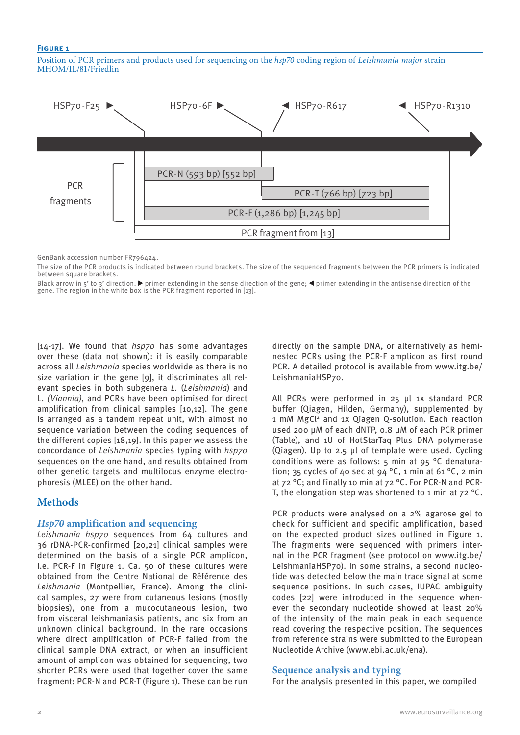#### **Figure 1**

Position of PCR primers and products used for sequencing on the *hsp70* coding region of *Leishmania major* strain MHOM/IL/81/Friedlin



GenBank accession number FR796424.

The size of the PCR products is indicated between round brackets. The size of the sequenced fragments between the PCR primers is indicated between square brackets.

Black arrow in 5' to 3' direction.  $\blacktriangleright$  primer extending in the sense direction of the gene;  $\blacktriangleleft$  primer extending in the antisense direction of the gene. The region in the white box is the PCR fragment reported in [13].

[14-17]. We found that *hsp70* has some advantages over these (data not shown): it is easily comparable across all *Leishmania* species worldwide as there is no size variation in the gene [9], it discriminates all relevant species in both subgenera *L.* (*Leishmania*) and L. *(Viannia)*, and PCRs have been optimised for direct amplification from clinical samples [10,12]. The gene is arranged as a tandem repeat unit, with almost no sequence variation between the coding sequences of the different copies [18,19]. In this paper we assess the concordance of *Leishmania* species typing with *hsp70* sequences on the one hand, and results obtained from other genetic targets and multilocus enzyme electrophoresis (MLEE) on the other hand.

## **Methods**

## *Hsp70* **amplification and sequencing**

*Leishmania hsp70* sequences from 64 cultures and 36 rDNA-PCR-confirmed [20,21] clinical samples were determined on the basis of a single PCR amplicon, i.e. PCR-F in Figure 1. Ca. 50 of these cultures were obtained from the Centre National de Référence des *Leishmania* (Montpellier, France). Among the clinical samples, 27 were from cutaneous lesions (mostly biopsies), one from a mucocutaneous lesion, two from visceral leishmaniasis patients, and six from an unknown clinical background. In the rare occasions where direct amplification of PCR-F failed from the clinical sample DNA extract, or when an insufficient amount of amplicon was obtained for sequencing, two shorter PCRs were used that together cover the same fragment: PCR-N and PCR-T (Figure 1). These can be run directly on the sample DNA, or alternatively as heminested PCRs using the PCR-F amplicon as first round PCR. A detailed protocol is available from www.itg.be/ LeishmaniaHSP70.

All PCRs were performed in 25 µl 1x standard PCR buffer (Qiagen, Hilden, Germany), supplemented by 1 mM MgCl<sup>2</sup> and 1x Qiagen Q-solution. Each reaction used 200 µM of each dNTP, 0.8 µM of each PCR primer (Table), and 1U of HotStarTaq Plus DNA polymerase (Qiagen). Up to 2.5 µl of template were used. Cycling conditions were as follows: 5 min at 95 °C denaturation; 35 cycles of 40 sec at 94 °C, 1 min at 61 °C, 2 min at 72 °C; and finally 10 min at 72 °C. For PCR-N and PCR-T, the elongation step was shortened to 1 min at  $72^{\circ}$ C.

PCR products were analysed on a 2% agarose gel to check for sufficient and specific amplification, based on the expected product sizes outlined in Figure 1. The fragments were sequenced with primers internal in the PCR fragment (see protocol on www.itg.be/ LeishmaniaHSP70). In some strains, a second nucleotide was detected below the main trace signal at some sequence positions. In such cases, IUPAC ambiguity codes [22] were introduced in the sequence whenever the secondary nucleotide showed at least 20% of the intensity of the main peak in each sequence read covering the respective position. The sequences from reference strains were submitted to the European Nucleotide Archive (www.ebi.ac.uk/ena).

#### **Sequence analysis and typing**

For the analysis presented in this paper, we compiled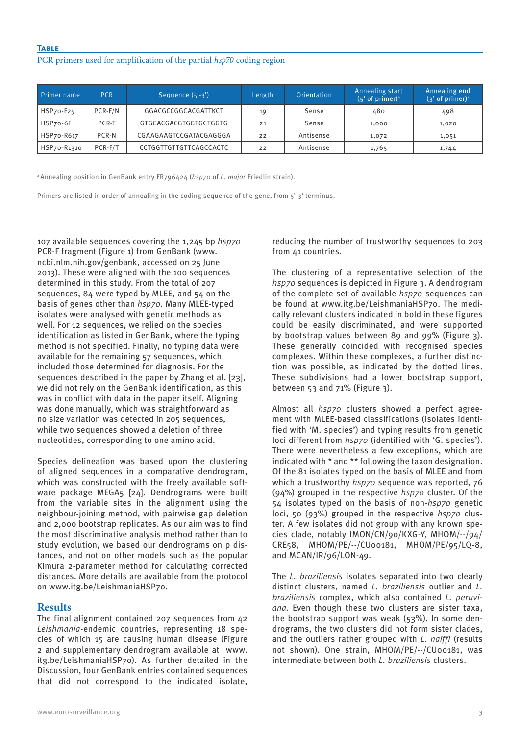**Table**

#### PCR primers used for amplification of the partial *hsp70* coding region

| Primer name | <b>PCR</b> | Sequence $(5'-3')$     | Length | Orientation | Annealing start<br>$(5'$ of primer) <sup>a</sup> | Annealing end<br>$(3'$ of primer) <sup>a</sup> |
|-------------|------------|------------------------|--------|-------------|--------------------------------------------------|------------------------------------------------|
| HSP70-F25   | $PCR-F/N$  | GGACGCCGGCACGATTKCT    | 19     | Sense       | 480                                              | 498                                            |
| HSP70-6F    | PCR-T      | GTGCACGACGTGGTGCTGGTG  | 21     | Sense       | 1,000                                            | 1,020                                          |
| HSP70-R617  | PCR-N      | CGAAGAAGTCCGATACGAGGGA | 22     | Antisense   | 1,072                                            | 1,051                                          |
| HSP70-R1310 | PCR-F/T    | CCTGGTTGTTGTTCAGCCACTC | 22     | Antisense   | 1,765                                            | 1,744                                          |

a Annealing position in GenBank entry FR796424 (*hsp70* of *L. major* Friedlin strain).

Primers are listed in order of annealing in the coding sequence of the gene, from 5'-3' terminus.

107 available sequences covering the 1,245 bp *hsp70* PCR-F fragment (Figure 1) from GenBank (www. ncbi.nlm.nih.gov/genbank, accessed on 25 June 2013). These were aligned with the 100 sequences determined in this study. From the total of 207 sequences, 84 were typed by MLEE, and 54 on the basis of genes other than *hsp70*. Many MLEE-typed isolates were analysed with genetic methods as well. For 12 sequences, we relied on the species identification as listed in GenBank, where the typing method is not specified. Finally, no typing data were available for the remaining 57 sequences, which included those determined for diagnosis. For the sequences described in the paper by Zhang et al. [23], we did not rely on the GenBank identification, as this was in conflict with data in the paper itself. Aligning was done manually, which was straightforward as no size variation was detected in 205 sequences, while two sequences showed a deletion of three nucleotides, corresponding to one amino acid.

Species delineation was based upon the clustering of aligned sequences in a comparative dendrogram, which was constructed with the freely available software package MEGA5 [24]. Dendrograms were built from the variable sites in the alignment using the neighbour-joining method, with pairwise gap deletion and 2,000 bootstrap replicates. As our aim was to find the most discriminative analysis method rather than to study evolution, we based our dendrograms on p distances, and not on other models such as the popular Kimura 2-parameter method for calculating corrected distances. More details are available from the protocol on www.itg.be/LeishmaniaHSP70.

## **Results**

The final alignment contained 207 sequences from 42 *Leishmania*-endemic countries, representing 18 species of which 15 are causing human disease (Figure 2 and supplementary dendrogram available at www. itg.be/LeishmaniaHSP70). As further detailed in the Discussion, four GenBank entries contained sequences that did not correspond to the indicated isolate, reducing the number of trustworthy sequences to 203 from 41 countries.

The clustering of a representative selection of the *hsp70* sequences is depicted in Figure 3. A dendrogram of the complete set of available *hsp70* sequences can be found at www.itg.be/LeishmaniaHSP70. The medically relevant clusters indicated in bold in these figures could be easily discriminated, and were supported by bootstrap values between 89 and 99% (Figure 3). These generally coincided with recognised species complexes. Within these complexes, a further distinction was possible, as indicated by the dotted lines. These subdivisions had a lower bootstrap support, between 53 and 71% (Figure 3).

Almost all *hsp70* clusters showed a perfect agreement with MLEE-based classifications (isolates identified with 'M. species') and typing results from genetic loci different from *hsp70* (identified with 'G. species'). There were nevertheless a few exceptions, which are indicated with \* and \*\* following the taxon designation. Of the 81 isolates typed on the basis of MLEE and from which a trustworthy *hsp70* sequence was reported, 76 (94%) grouped in the respective *hsp70* cluster. Of the 54 isolates typed on the basis of non-*hsp70* genetic loci, 50 (93%) grouped in the respective *hsp70* cluster. A few isolates did not group with any known species clade, notably IMON/CN/90/KXG-Y, MHOM/--/94/ CRE58, MHOM/PE/--/CU00181, MHOM/PE/95/LQ-8, and MCAN/IR/96/LON-49.

The *L. braziliensis* isolates separated into two clearly distinct clusters, named *L. braziliensis* outlier and *L. braziliensis* complex, which also contained *L. peruviana*. Even though these two clusters are sister taxa, the bootstrap support was weak (53%). In some dendrograms, the two clusters did not form sister clades, and the outliers rather grouped with *L. naiffi* (results not shown). One strain, MHOM/PE/--/CU00181, was intermediate between both *L. braziliensis* clusters.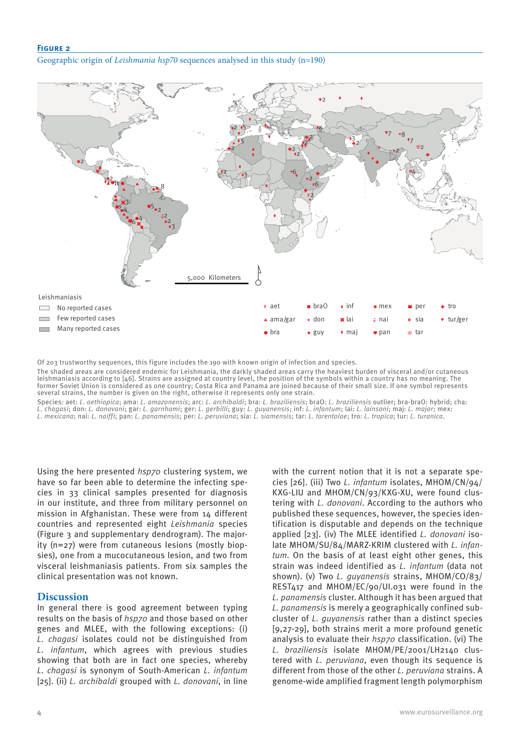### **Figure 2**

Geographic origin of *Leishmania hsp70* sequences analysed in this study (n=190)



Of 203 trustworthy sequences, this figure includes the 190 with known origin of infection and species.

The shaded areas are considered endemic for Leishmania, the darkly shaded areas carry the heaviest burden of visceral and/or cutaneous leishmaniasis according to [46]. Strains are assigned at country level, the position of the symbols within a country has no meaning. The former Soviet Union is considered as one country; Costa Rica and Panama are joined because of their small size. If one symbol represents several strains, the number is given on the right, otherwise it represents only one strain.

Species: aet: *L. aethiopica*; ama: *L. amazonensis*; arc: *L. archibaldi*; bra: *L. braziliensis*; braO: *L. braziliensis* outlier; bra-braO: hybrid; cha: *L. chagasi*; don: *L. donovani*; gar: *L. garnhami*; ger: *L. gerbilli*; guy: *L. guyanensis*; inf: *L. infantum*; lai: *L. lainsoni*; maj: *L. major;* mex: *L. mexicana*; nai: *L. naiffi*; pan: *L. panamensis*; per: *L. peruviana*; sia: *L. siamensis*; tar: *L. tarentolae*; tro: *L. tropica*; tur: *L. turanica*.

Using the here presented *hsp70* clustering system, we have so far been able to determine the infecting species in 33 clinical samples presented for diagnosis in our institute, and three from military personnel on mission in Afghanistan. These were from 14 different countries and represented eight *Leishmania* species (Figure 3 and supplementary dendrogram). The majority (n=27) were from cutaneous lesions (mostly biopsies), one from a mucocutaneous lesion, and two from visceral leishmaniasis patients. From six samples the clinical presentation was not known.

## **Discussion**

In general there is good agreement between typing results on the basis of *hsp70* and those based on other genes and MLEE, with the following exceptions: (i) *L. chagasi* isolates could not be distinguished from *L. infantum*, which agrees with previous studies showing that both are in fact one species, whereby *L*. *chagasi* is synonym of South-American *L. infantum* [25]. (ii) *L. archibaldi* grouped with *L. donovani*, in line

with the current notion that it is not a separate species [26]. (iii) Two *L. infantum* isolates, MHOM/CN/94/ KXG-LIU and MHOM/CN/93/KXG-XU, were found clustering with *L. donovani*. According to the authors who published these sequences, however, the species identification is disputable and depends on the technique applied [23]. (iv) The MLEE identified *L. donovani* isolate MHOM/SU/84/MARZ-KRIM clustered with *L. infantum*. On the basis of at least eight other genes, this strain was indeed identified as *L. infantum* (data not shown). (v) Two *L. guyanensis* strains, MHOM/CO/83/ REST417 and MHOM/EC/90/UI.031 were found in the *L. panamensis* cluster. Although it has been argued that *L. panamensis* is merely a geographically confined subcluster of *L. guyanensis* rather than a distinct species [9,27-29], both strains merit a more profound genetic analysis to evaluate their *hsp70* classification. (vi) The *L. braziliensis* isolate MHOM/PE/2001/LH2140 clustered with *L. peruviana*, even though its sequence is different from those of the other *L. peruviana* strains. A genome-wide amplified fragment length polymorphism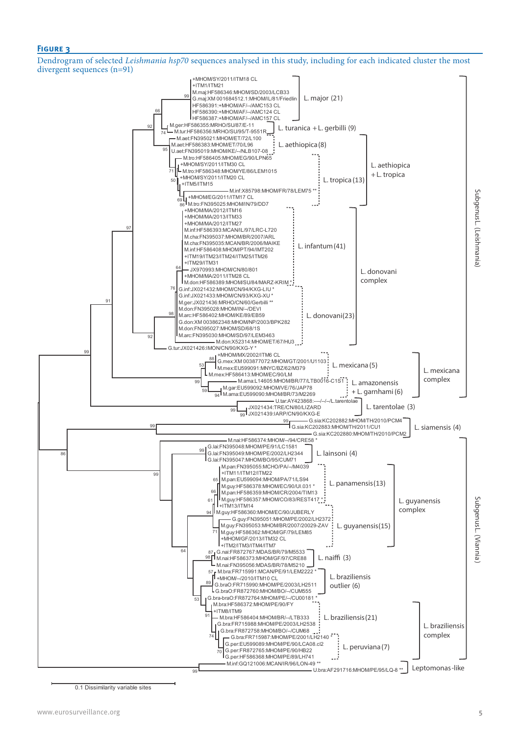#### **Figure 3**

Dendrogram of selected *Leishmania hsp70* sequences analysed in this study, including for each indicated cluster the most divergent sequences (n=91)



0.1 Dissimilarity variable sites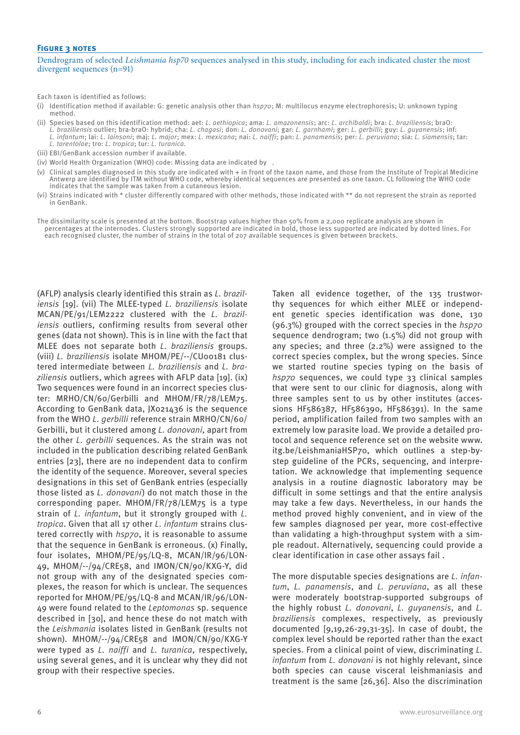#### **FIGURE 3 NOTES**

#### Dendrogram of selected *Leishmania hsp70* sequences analysed in this study, including for each indicated cluster the most divergent sequences (n=91)

Each taxon is identified as follows:

- (i) Identification method if available: G: genetic analysis other than *hsp70*; M: multilocus enzyme electrophoresis; U: unknown typing method.
- (ii) Species based on this identification method: aet: *L. aethiopica*; ama: *L. amazonensis*; arc: *L. archibaldi*; bra: *L. braziliensis*; braO: *L. braziliensis* outlier; bra-braO: hybrid; cha: *L. chagasi*; don: *L. donovani*; gar: *L. garnhami*; ger: *L. gerbilli*; guy: *L. guyanensis*; inf: *L. infantum*; lai: *L. lainsoni*; maj: *L. major*; mex: *L. mexicana*; nai: *L. naiffi*; pan: *L. panamensis*; per: *L. peruviana*; sia: *L. siamensis*; tar: *L. tarentolae*; tro: *L. tropica*; tur: *L. turanica*.
- (iii) EBI/GenBank accession number if available.
- (iv) World Health Organization (WHO) code: Missing data are indicated by .
- (v) Clinical samples diagnosed in this study are indicated with + in front of the taxon name, and those from the Institute of Tropical Medicine Antwerp are identified by ITM without WHO code, whereby identical sequences are presented as one taxon. CL following the WHO code indicates that the sample was taken from a cutaneous lesion.
- (vi) Strains indicated with \* cluster differently compared with other methods, those indicated with \*\* do not represent the strain as reported in GenBank.
- The dissimilarity scale is presented at the bottom. Bootstrap values higher than 50% from a 2,000 replicate analysis are shown in percentages at the internodes. Clusters strongly supported are indicated in bold, those less supported are indicated by dotted lines. For each recognised cluster, the number of strains in the total of 207 available sequences is given between brackets.

(AFLP) analysis clearly identified this strain as *L. braziliensis* [19]. (vii) The MLEE-typed *L. braziliensis* isolate MCAN/PE/91/LEM2222 clustered with the *L. braziliensis* outliers, confirming results from several other genes (data not shown). This is in line with the fact that MLEE does not separate both *L. braziliensis* groups. (viii) *L. braziliensis* isolate MHOM/PE/--/CU00181 clustered intermediate between *L. braziliensis* and *L. braziliensis* outliers, which agrees with AFLP data [19]. (ix) Two sequences were found in an incorrect species cluster: MRHO/CN/60/Gerbilli and MHOM/FR/78/LEM75. According to GenBank data, JX021436 is the sequence from the WHO *L. gerbilli* reference strain MRHO/CN/60/ Gerbilli, but it clustered among *L. donovani*, apart from the other *L. gerbilli* sequences. As the strain was not included in the publication describing related GenBank entries [23], there are no independent data to confirm the identity of the sequence. Moreover, several species designations in this set of GenBank entries (especially those listed as *L. donovani*) do not match those in the corresponding paper. MHOM/FR/78/LEM75 is a type strain of *L. infantum*, but it strongly grouped with *L. tropica*. Given that all 17 other *L. infantum* strains clustered correctly with *hsp70*, it is reasonable to assume that the sequence in GenBank is erroneous. (x) Finally, four isolates, MHOM/PE/95/LQ-8, MCAN/IR/96/LON-49, MHOM/--/94/CRE58, and IMON/CN/90/KXG-Y, did not group with any of the designated species complexes, the reason for which is unclear. The sequences reported for MHOM/PE/95/LQ-8 and MCAN/IR/96/LON-49 were found related to the *Leptomonas* sp. sequence described in [30], and hence these do not match with the *Leishmania* isolates listed in GenBank (results not shown). MHOM/--/94/CRE58 and IMON/CN/90/KXG-Y were typed as *L. naiffi* and *L. turanica*, respectively, using several genes, and it is unclear why they did not group with their respective species.

Taken all evidence together, of the 135 trustworthy sequences for which either MLEE or independent genetic species identification was done, 130 (96.3%) grouped with the correct species in the *hsp70* sequence dendrogram; two (1.5%) did not group with any species; and three (2.2%) were assigned to the correct species complex, but the wrong species. Since we started routine species typing on the basis of *hsp70* sequences, we could type 33 clinical samples that were sent to our clinic for diagnosis, along with three samples sent to us by other institutes (accessions HF586387, HF586390, HF586391). In the same period, amplification failed from two samples with an extremely low parasite load. We provide a detailed protocol and sequence reference set on the website www. itg.be/LeishmaniaHSP70, which outlines a step-bystep guideline of the PCRs, sequencing, and interpretation. We acknowledge that implementing sequence analysis in a routine diagnostic laboratory may be difficult in some settings and that the entire analysis may take a few days. Nevertheless, in our hands the method proved highly convenient, and in view of the few samples diagnosed per year, more cost-effective than validating a high-throughput system with a simple readout. Alternatively, sequencing could provide a clear identification in case other assays fail .

The more disputable species designations are *L. infantum*, *L. panamensis*, and *L. peruviana*, as all these were moderately bootstrap-supported subgroups of the highly robust *L. donovani*, *L. guyanensis*, and *L. braziliensis* complexes, respectively, as previously documented [9,19,26-29,31-35]. In case of doubt, the complex level should be reported rather than the exact species. From a clinical point of view, discriminating *L. infantum* from *L. donovani* is not highly relevant, since both species can cause visceral leishmaniasis and treatment is the same [26,36]. Also the discrimination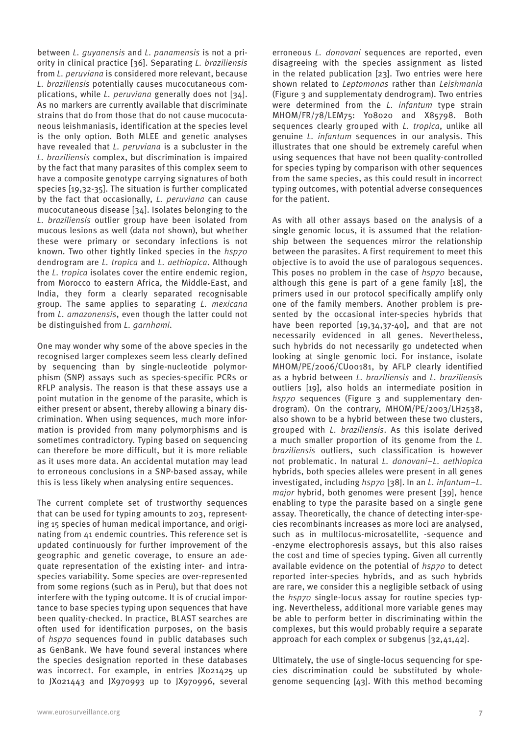between *L. guyanensis* and *L. panamensis* is not a priority in clinical practice [36]. Separating *L. braziliensis* from *L. peruviana* is considered more relevant, because *L. braziliensis* potentially causes mucocutaneous complications, while *L. peruviana* generally does not [34]. As no markers are currently available that discriminate strains that do from those that do not cause mucocutaneous leishmaniasis, identification at the species level is the only option. Both MLEE and genetic analyses have revealed that *L. peruviana* is a subcluster in the *L. braziliensis* complex, but discrimination is impaired by the fact that many parasites of this complex seem to have a composite genotype carrying signatures of both species [19,32-35]. The situation is further complicated by the fact that occasionally, *L. peruviana* can cause mucocutaneous disease [34]. Isolates belonging to the *L. braziliensis* outlier group have been isolated from mucous lesions as well (data not shown), but whether these were primary or secondary infections is not known. Two other tightly linked species in the *hsp70* dendrogram are *L. tropica* and *L. aethiopica*. Although the *L. tropica* isolates cover the entire endemic region, from Morocco to eastern Africa, the Middle-East, and India, they form a clearly separated recognisable group. The same applies to separating *L. mexicana* from *L. amazonensis*, even though the latter could not be distinguished from *L. garnhami*.

One may wonder why some of the above species in the recognised larger complexes seem less clearly defined by sequencing than by single-nucleotide polymorphism (SNP) assays such as species-specific PCRs or RFLP analysis. The reason is that these assays use a point mutation in the genome of the parasite, which is either present or absent, thereby allowing a binary discrimination. When using sequences, much more information is provided from many polymorphisms and is sometimes contradictory. Typing based on sequencing can therefore be more difficult, but it is more reliable as it uses more data. An accidental mutation may lead to erroneous conclusions in a SNP-based assay, while this is less likely when analysing entire sequences.

The current complete set of trustworthy sequences that can be used for typing amounts to 203, representing 15 species of human medical importance, and originating from 41 endemic countries. This reference set is updated continuously for further improvement of the geographic and genetic coverage, to ensure an adequate representation of the existing inter- and intraspecies variability. Some species are over-represented from some regions (such as in Peru), but that does not interfere with the typing outcome. It is of crucial importance to base species typing upon sequences that have been quality-checked. In practice, BLAST searches are often used for identification purposes, on the basis of *hsp70* sequences found in public databases such as GenBank. We have found several instances where the species designation reported in these databases was incorrect. For example, in entries JX021425 up to JX021443 and JX970993 up to JX970996, several erroneous *L. donovani* sequences are reported, even disagreeing with the species assignment as listed in the related publication [23]. Two entries were here shown related to *Leptomonas* rather than *Leishmania*  (Figure 3 and supplementaty dendrogram). Two entries were determined from the *L. infantum* type strain MHOM/FR/78/LEM75: Y08020 and X85798. Both sequences clearly grouped with *L. tropica*, unlike all genuine *L. infantum* sequences in our analysis. This illustrates that one should be extremely careful when using sequences that have not been quality-controlled for species typing by comparison with other sequences from the same species, as this could result in incorrect typing outcomes, with potential adverse consequences for the patient.

As with all other assays based on the analysis of a single genomic locus, it is assumed that the relationship between the sequences mirror the relationship between the parasites. A first requirement to meet this objective is to avoid the use of paralogous sequences. This poses no problem in the case of *hsp70* because, although this gene is part of a gene family [18], the primers used in our protocol specifically amplify only one of the family members. Another problem is presented by the occasional inter-species hybrids that have been reported [19,34,37-40], and that are not necessarily evidenced in all genes. Nevertheless, such hybrids do not necessarily go undetected when looking at single genomic loci. For instance, isolate MHOM/PE/2006/CU00181, by AFLP clearly identified as a hybrid between *L. braziliensis* and *L. braziliensis* outliers [19], also holds an intermediate position in *hsp70* sequences (Figure 3 and supplementary dendrogram). On the contrary, MHOM/PE/2003/LH2538, also shown to be a hybrid between these two clusters, grouped with *L. braziliensis*. As this isolate derived a much smaller proportion of its genome from the *L. braziliensis* outliers, such classification is however not problematic. In natural *L. donovani*–*L. aethiopica* hybrids, both species alleles were present in all genes investigated, including *hsp70* [38]. In an *L. infantum*–*L. major* hybrid, both genomes were present [39], hence enabling to type the parasite based on a single gene assay. Theoretically, the chance of detecting inter-species recombinants increases as more loci are analysed, such as in multilocus-microsatellite, -sequence and -enzyme electrophoresis assays, but this also raises the cost and time of species typing. Given all currently available evidence on the potential of *hsp70* to detect reported inter-species hybrids, and as such hybrids are rare, we consider this a negligible setback of using the *hsp70* single-locus assay for routine species typing. Nevertheless, additional more variable genes may be able to perform better in discriminating within the complexes, but this would probably require a separate approach for each complex or subgenus [32,41,42].

Ultimately, the use of single-locus sequencing for species discrimination could be substituted by wholegenome sequencing [43]. With this method becoming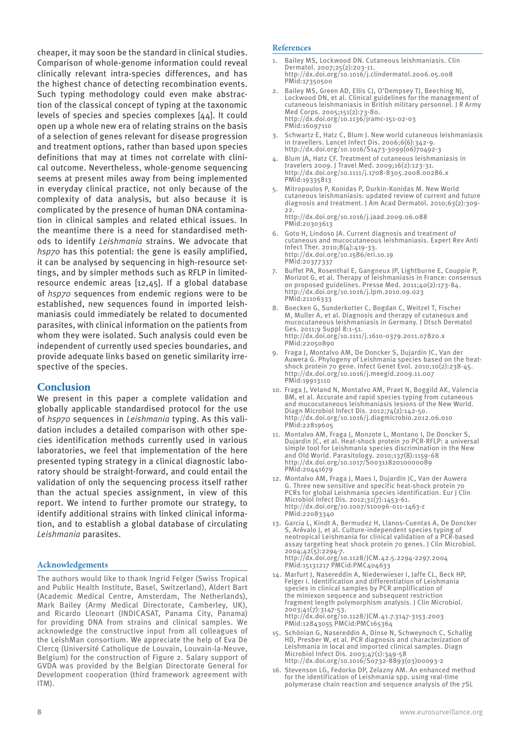cheaper, it may soon be the standard in clinical studies. Comparison of whole-genome information could reveal clinically relevant intra-species differences, and has the highest chance of detecting recombination events. Such typing methodology could even make abstraction of the classical concept of typing at the taxonomic levels of species and species complexes [44]. It could open up a whole new era of relating strains on the basis of a selection of genes relevant for disease progression and treatment options, rather than based upon species definitions that may at times not correlate with clinical outcome. Nevertheless, whole-genome sequencing seems at present miles away from being implemented in everyday clinical practice, not only because of the complexity of data analysis, but also because it is complicated by the presence of human DNA contamination in clinical samples and related ethical issues. In the meantime there is a need for standardised methods to identify *Leishmania* strains. We advocate that *hsp70* has this potential: the gene is easily amplified, it can be analysed by sequencing in high-resource settings, and by simpler methods such as RFLP in limitedresource endemic areas [12,45]. If a global database of *hsp70* sequences from endemic regions were to be established, new sequences found in imported leishmaniasis could immediately be related to documented parasites, with clinical information on the patients from whom they were isolated. Such analysis could even be independent of currently used species boundaries, and provide adequate links based on genetic similarity irrespective of the species.

## **Conclusion**

We present in this paper a complete validation and globally applicable standardised protocol for the use of *hsp70* sequences in *Leishmania* typing. As this validation includes a detailed comparison with other species identification methods currently used in various laboratories, we feel that implementation of the here presented typing strategy in a clinical diagnostic laboratory should be straight-forward, and could entail the validation of only the sequencing process itself rather than the actual species assignment, in view of this report. We intend to further promote our strategy, to identify additional strains with linked clinical information, and to establish a global database of circulating *Leishmania* parasites.

#### **Acknowledgements**

The authors would like to thank Ingrid Felger (Swiss Tropical and Public Health Institute, Basel, Switzerland), Aldert Bart (Academic Medical Centre, Amsterdam, The Netherlands), Mark Bailey (Army Medical Directorate, Camberley, UK), and Ricardo Lleonart (INDICASAT, Panama City, Panama) for providing DNA from strains and clinical samples. We acknowledge the constructive input from all colleagues of the LeishMan consortium. We appreciate the help of Eva De Clercq (Université Catholique de Louvain, Louvain-la-Neuve, Belgium) for the construction of Figure 2. Salary support of GVDA was provided by the Belgian Directorate General for Development cooperation (third framework agreement with ITM).

#### **References**

- Bailey MS, Lockwood DN. Cutaneous leishmaniasis. Clin Dermatol. 2007;25(2):203-11. http://dx.doi.org/10.1016/j.clindermatol.2006.05.008 PMid:17350500
- 2. Bailey MS, Green AD, Ellis CJ, O'Dempsey TJ, Beeching NJ, Lockwood DN, et al. Clinical guidelines for the management of cutaneous leishmaniasis in British military personnel. J R Army Med Corps. 2005;151(2):73-80. http://dx.doi.org/10.1136/jramc-151-02-03 PMid:16097110
- 3. Schwartz E, Hatz C, Blum J. New world cutaneous leishmaniasis in travellers. Lancet Infect Dis. 2006;6(6):342-9. http://dx.doi.org/10.1016/S1473-3099(06)70492-3
- 4. Blum JA, Hatz CF. Treatment of cutaneous leishmaniasis in travelers 2009. J Travel Med. 2009;16(2):123-31. http://dx.doi.org/10.1111/j.1708-8305.2008.00286.x PMid:19335813
- 5. Mitropoulos P, Konidas P, Durkin-Konidas M. New World cutaneous leishmaniasis: updated review of current and future diagnosis and treatment. J Am Acad Dermatol. 2010;63(2):309-22. http://dx.doi.org/10.1016/j.jaad.2009.06.088
- PMid:20303613 6. Goto H, Lindoso JA. Current diagnosis and treatment of cutaneous and mucocutaneous leishmaniasis. Expert Rev Anti Infect Ther. 2010;8(4):419-33. http://dx.doi.org/10.1586/eri.10.19
- PMid:20377337
- 7. Buffet PA, Rosenthal E, Gangneux JP, Lightburne E, Couppie P, Morizot G, et al. Therapy of leishmaniasis in France: consensus on proposed guidelines. Presse Med. 2011;40(2):173-84. http://dx.doi.org/10.1016/j.lpm.2010.09.023 PMid:21106333
- 8. Boecken G, Sunderkotter C, Bogdan C, Weitzel T, Fischer M, Muller A, et al. Diagnosis and therapy of cutaneous and mucocutaneous leishmaniasis in Germany. J Dtsch Dermatol Ges. 2011;9 Suppl 8:1-51. http://dx.doi.org/10.1111/j.1610-0379.2011.07820.x PMid:22050890
- 9. Fraga J, Montalvo AM, De Doncker S, Dujardin JC, Van der Auwera G. Phylogeny of Leishmania species based on the heatshock protein 70 gene. Infect Genet Evol. 2010;10(2):238-45. http://dx.doi.org/10.1016/j.meegid.2009.11.007 PMid:19913110
- 10. Fraga J, Veland N, Montalvo AM, Praet N, Boggild AK, Valencia BM, et al. Accurate and rapid species typing from cutaneous and mucocutaneous leishmaniasis lesions of the New World. Diagn Microbiol Infect Dis. 2012;74(2):142-50. http://dx.doi.org/10.1016/j.diagmicrobio.2012.06.010 PMid:22819605
- 11. Montalvo AM, Fraga J, Monzote L, Montano I, De Doncker S, Dujardin JC, et al. Heat-shock protein 70 PCR-RFLP: a universal simple tool for Leishmania species discrimination in the New and Old World. Parasitology. 2010;137(8):1159-68 http://dx.doi.org/10.1017/S0031182010000089 PMid:20441679
- 12. Montalvo AM, Fraga J, Maes I, Dujardin JC, Van der Auwera G. Three new sensitive and specific heat-shock protein 70 PCRs for global Leishmania species identification. Eur J Clin Microbiol Infect Dis. 2012;31(7):1453-61. http://dx.doi.org/10.1007/s10096-011-1463-z PMid:22083340
- 13. Garcia L, Kindt A, Bermudez H, Llanos-Cuentas A, De Doncker S, Arévalo J, et al. Culture-independent species typing of neotropical Leishmania for clinical validation of a PCR-based assay targeting heat shock protein 70 genes. J Clin Microbiol. 2004;42(5):2294-7. http://dx.doi.org/10.1128/JCM.42.5.2294-2297.2004 PMid:15131217 PMCid:PMC404633
- 14. Marfurt J, Nasereddin A, Niederwieser I, Jaffe CL, Beck HP, Felger I. Identification and differentiation of Leishmania species in clinical samples by PCR amplification of the miniexon sequence and subsequent restriction fragment length polymorphism analysis. J Clin Microbiol. 2003;41(7):3147-53. http://dx.doi.org/10.1128/JCM.41.7.3147-3153.2003 PMid:12843055 PMCid:PMC165364
- 15. Schönian G, Nasereddin A, Dinse N, Schweynoch C, Schallig HD, Presber W, et al. PCR diagnosis and characterization of Leishmania in local and imported clinical samples. Diagn Microbiol Infect Dis. 2003;47(1):349-58 http://dx.doi.org/10.1016/S0732-8893(03)00093-2
- 16. Stevenson LG, Fedorko DP, Zelazny AM. An enhanced method for the identification of Leishmania spp. using real-time polymerase chain reaction and sequence analysis of the 7SL